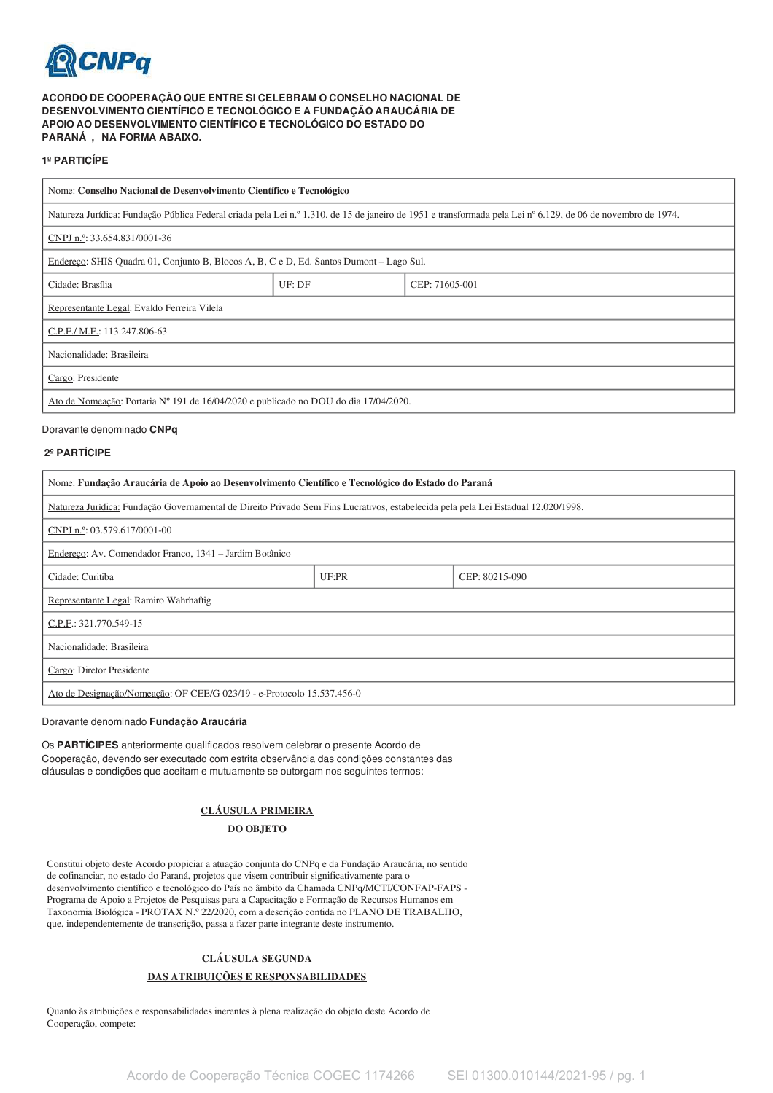

## ACORDO DE COOPERAÇÃO QUE ENTRE SI CELEBRAM O CONSELHO NACIONAL DE DESENVOLVIMENTO CIENTÍFICO E TECNOLÓGICO E A FUNDAÇÃO ARAUCÁRIA DE APOIO AO DESENVOLVIMENTO CIENTÍFICO E TECNOLÓGICO DO ESTADO DO PARANÁ, NA FORMA ABAIXO.

#### 1º PARTICÍPE

| Nome: Conselho Nacional de Desenvolvimento Científico e Tecnológico                                                                                          |        |                |  |  |
|--------------------------------------------------------------------------------------------------------------------------------------------------------------|--------|----------------|--|--|
| Natureza Jurídica: Fundação Pública Federal criada pela Lei n.º 1.310, de 15 de janeiro de 1951 e transformada pela Lei nº 6.129, de 06 de novembro de 1974. |        |                |  |  |
| CNPJ n. <sup>o</sup> : 33.654.831/0001-36                                                                                                                    |        |                |  |  |
| Endereço: SHIS Quadra 01, Conjunto B, Blocos A, B, C e D, Ed. Santos Dumont – Lago Sul.                                                                      |        |                |  |  |
| Cidade: Brasília                                                                                                                                             | UF: DF | CEP: 71605-001 |  |  |
| Representante Legal: Evaldo Ferreira Vilela                                                                                                                  |        |                |  |  |
| C.P.F./ M.F.: 113.247.806-63                                                                                                                                 |        |                |  |  |
| Nacionalidade: Brasileira                                                                                                                                    |        |                |  |  |
| Cargo: Presidente                                                                                                                                            |        |                |  |  |
| Ato de Nomeação: Portaria Nº 191 de 16/04/2020 e publicado no DOU do dia 17/04/2020.                                                                         |        |                |  |  |

Doravante denominado CNPq

#### 2º PARTÍCIPE

| Nome: Fundação Araucária de Apoio ao Desenvolvimento Científico e Tecnológico do Estado do Paraná                                  |       |                |  |  |
|------------------------------------------------------------------------------------------------------------------------------------|-------|----------------|--|--|
| Natureza Jurídica: Fundação Governamental de Direito Privado Sem Fins Lucrativos, estabelecida pela pela Lei Estadual 12.020/1998. |       |                |  |  |
| CNPJ n.º: 03.579.617/0001-00                                                                                                       |       |                |  |  |
| Endereço: Av. Comendador Franco, 1341 - Jardim Botânico                                                                            |       |                |  |  |
| Cidade: Curitiba                                                                                                                   | UF:PR | CEP: 80215-090 |  |  |
| Representante Legal: Ramiro Wahrhaftig                                                                                             |       |                |  |  |
| C.P.F.: 321.770.549-15                                                                                                             |       |                |  |  |
| Nacionalidade: Brasileira                                                                                                          |       |                |  |  |
| Cargo: Diretor Presidente                                                                                                          |       |                |  |  |
| Ato de Designação/Nomeação: OF CEE/G 023/19 - e-Protocolo 15.537.456-0                                                             |       |                |  |  |

Doravante denominado Fundação Araucária

Os PARTÍCIPES anteriormente qualificados resolvem celebrar o presente Acordo de Cooperação, devendo ser executado com estrita observância das condições constantes das cláusulas e condições que aceitam e mutuamente se outorgam nos seguintes termos:

# **CLÁUSULA PRIMEIRA**

# **DO OBJETO**

Constitui objeto deste Acordo propiciar a atuação conjunta do CNPq e da Fundação Araucária, no sentido de cofinanciar, no estado do Paraná, projetos que visem contribuir significativamente para o desenvolvimento científico e tecnológico do País no âmbito da Chamada CNPq/MCTI/CONFAP-FAPS -Programa de Apoio a Projetos de Pesquisas para a Capacitação e Formação de Recursos Humanos em Taxonomia Biológica - PROTAX N.º 22/2020, com a descrição contida no PLANO DE TRABALHO, que, independentemente de transcrição, passa a fazer parte integrante deste instrumento.

# **CLÁUSULA SEGUNDA** DAS ATRIBUICÕES E RESPONSABILIDADES

Quanto às atribuições e responsabilidades inerentes à plena realização do objeto deste Acordo de Cooperação, compete: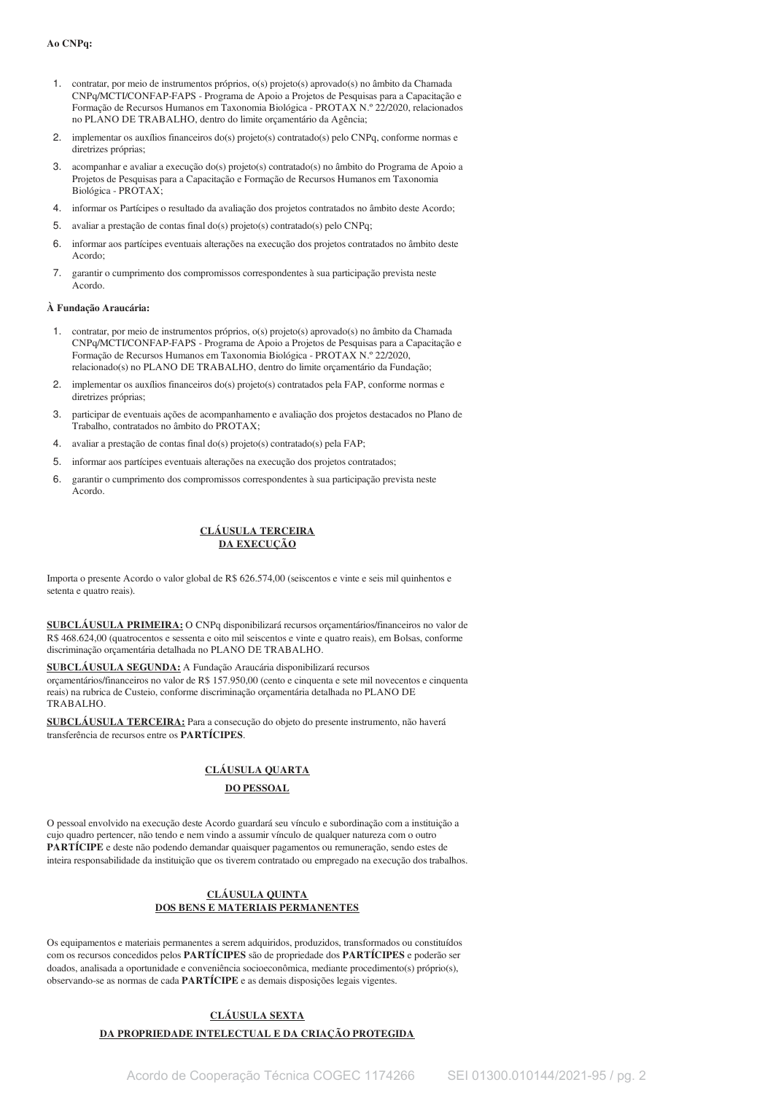#### Ao CNPq:

- 1. contratar, por mejo de instrumentos próprios, o(s) projeto(s) aprovado(s) no âmbito da Chamada CNPq/MCTI/CONFAP-FAPS - Programa de Apoio a Projetos de Pesquisas para a Capacitação e Formação de Recursos Humanos em Taxonomia Biológica - PROTAX N.º 22/2020, relacionados no PLANO DE TRABALHO, dentro do limite orçamentário da Agência;
- 2. implementar os auxílios financeiros do(s) projeto(s) contratado(s) pelo CNPq, conforme normas e diretrizes próprias:
- 3. acompanhar e avaliar a execução do(s) projeto(s) contratado(s) no âmbito do Programa de Apoio a Projetos de Pesquisas para a Capacitação e Formação de Recursos Humanos em Taxonomia Biológica - PROTAX;
- 4. informar os Partícipes o resultado da avaliação dos projetos contratados no âmbito deste Acordo;
- avaliar a prestação de contas final do(s) projeto(s) contratado(s) pelo CNPq;  $5 -$
- 6. informar aos partícipes eventuais alterações na execução dos projetos contratados no âmbito deste Acordo:
- $\overline{7}$ . garantir o cumprimento dos compromissos correspondentes à sua participação prevista neste Acordo.

#### À Fundação Araucária:

- 1. contratar, por meio de instrumentos próprios, o(s) projeto(s) aprovado(s) no âmbito da Chamada CNPq/MCTI/CONFAP-FAPS - Programa de Apoio a Projetos de Pesquisas para a Capacitação e Formação de Recursos Humanos em Taxonomia Biológica - PROTAX N.º 22/2020, relacionado(s) no PLANO DE TRABALHO, dentro do limite orçamentário da Fundação;
- 2. implementar os auxílios financeiros do(s) projeto(s) contratados pela FAP, conforme normas e diretrizes próprias:
- 3. participar de eventuais ações de acompanhamento e avaliação dos projetos destacados no Plano de Trabalho, contratados no âmbito do PROTAX;
- $4.$ avaliar a prestação de contas final do(s) projeto(s) contratado(s) pela FAP;
- 5. informar aos partícipes eventuais alterações na execução dos projetos contratados;
- $6^{\circ}$ garantir o cumprimento dos compromissos correspondentes à sua participação prevista neste Acordo.

### **CLÁUSULA TERCEIRA DA EXECUÇÃO**

Importa o presente Acordo o valor global de R\$ 626.574,00 (seiscentos e vinte e seis mil quinhentos e setenta e quatro reais).

SUBCLÁUSULA PRIMEIRA: O CNPq disponibilizará recursos orgamentários/financeiros no valor de R\$ 468,624,00 (quatrocentos e sessenta e oito mil seiscentos e vinte e quatro reais), em Bolsas, conforme discriminação orçamentária detalhada no PLANO DE TRABALHO.

SUBCLÁUSULA SEGUNDA: A Fundação Araucária disponibilizará recursos orçamentários/financeiros no valor de R\$ 157.950,00 (cento e cinquenta e sete mil novecentos e cinquenta reais) na rubrica de Custeio, conforme discriminação orçamentária detalhada no PLANO DE TRABALHO.

SUBCLÁUSULA TERCEIRA: Para a consecução do objeto do presente instrumento, não haverá transferência de recursos entre os PARTÍCIPES.

#### **CLÁUSULA QUARTA**

# **DO PESSOAL**

O pessoal envolvido na execução deste Acordo guardará seu vínculo e subordinação com a instituição a cujo quadro pertencer, não tendo e nem vindo a assumir vínculo de qualquer natureza com o outro PARTÍCIPE e deste não podendo demandar quaisquer pagamentos ou remuneração, sendo estes de inteira responsabilidade da instituição que os tiverem contratado ou empregado na execução dos trabalhos.

#### **CLÁUSULA QUINTA DOS BENS E MATERIAIS PERMANENTES**

Os equipamentos e materiais permanentes a serem adquiridos, produzidos, transformados ou constituídos com os recursos concedidos pelos PARTÍCIPES são de propriedade dos PARTÍCIPES e poderão ser doados, analisada a oportunidade e conveniência socioeconômica, mediante procedimento(s) próprio(s), observando-se as normas de cada PARTÍCIPE e as demais disposições legais vigentes.

# CLÁUSULA SEXTA

# DA PROPRIEDADE INTELECTUAL E DA CRIAÇÃO PROTEGIDA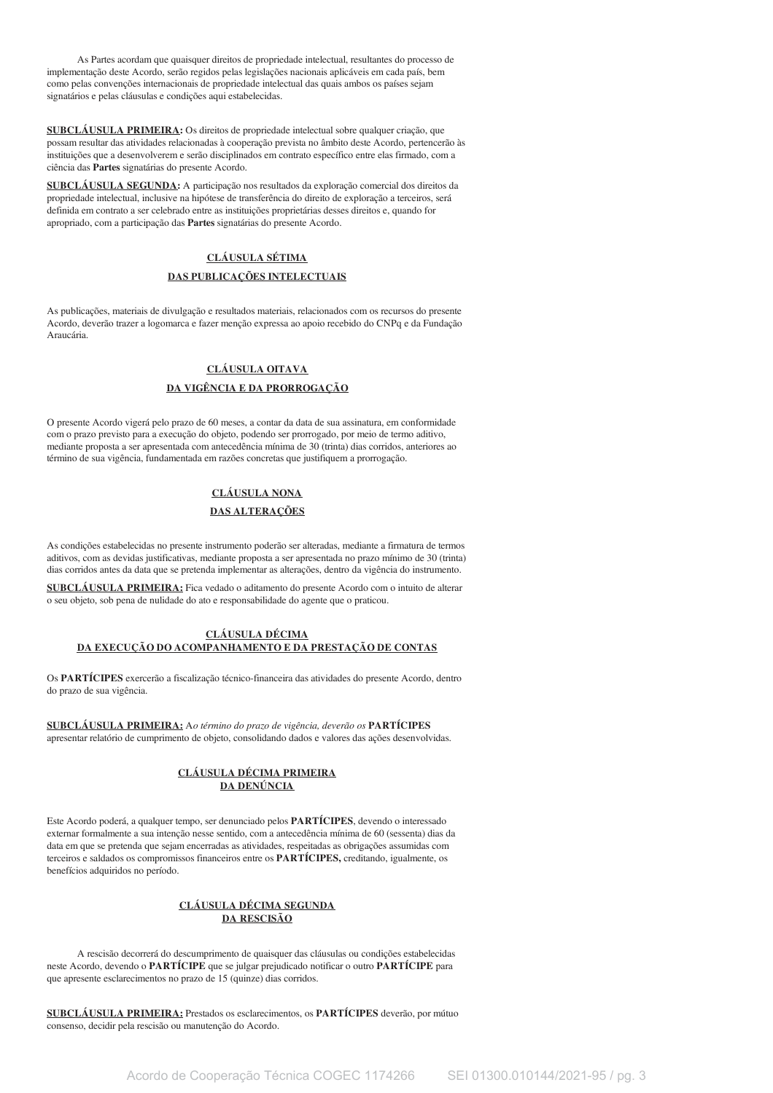As Partes acordam que quaisquer direitos de propriedade intelectual, resultantes do processo de implementação deste Acordo, serão regidos pelas legislações nacionais aplicáveis em cada país, bem como pelas convenções internacionais de propriedade intelectual das quais ambos os países sejam signatários e pelas cláusulas e condições aqui estabelecidas.

**SUBCLÁUSULA PRIMEIRA:** Os direitos de propriedade intelectual sobre qualquer criação, que possam resultar das atividades relacionadas à cooperação prevista no âmbito deste Acordo, pertencerão às instituições que a desenvolverem e serão disciplinados em contrato específico entre elas firmado, com a ciência das Partes signatárias do presente Acordo.

SUBCLÁUSULA SEGUNDA: A participação nos resultados da exploração comercial dos direitos da propriedade intelectual, inclusive na hipótese de transferência do direito de exploração a terceiros, será definida em contrato a ser celebrado entre as instituições proprietárias desses direitos e, quando for apropriado, com a participação das Partes signatárias do presente Acordo.

# **CLÁUSULA SÉTIMA**

## DAS PUBLICAÇÕES INTELECTUAIS

As publicações, materiais de divulgação e resultados materiais, relacionados com os recursos do presente Acordo, deverão trazer a logomarca e fazer menção expressa ao apoio recebido do CNPq e da Fundação Araucária

# **CLÁUSULA OITAVA** DA VIGÊNCIA E DA PRORROGAÇÃO

O presente Acordo vigerá pelo prazo de 60 meses, a contar da data de sua assinatura, em conformidade com o prazo previsto para a execução do objeto, podendo ser prorrogado, por meio de termo aditivo, mediante proposta a ser apresentada com antecedência mínima de 30 (trinta) dias corridos, anteriores ao término de sua vigência, fundamentada em razões concretas que justifiquem a prorrogação.

# **CLÁUSULA NONA**

# DAS ALTERAÇÕES

As condições estabelecidas no presente instrumento poderão ser alteradas, mediante a firmatura de termos aditivos, com as devidas justificativas, mediante proposta a ser apresentada no prazo mínimo de 30 (trinta) dias corridos antes da data que se pretenda implementar as alterações, dentro da vigência do instrumento.

SUBCLÁUSULA PRIMEIRA: Fica vedado o aditamento do presente Acordo com o intuito de alterar o seu objeto, sob pena de nulidade do ato e responsabilidade do agente que o praticou.

#### **CLÁUSULA DÉCIMA** DA EXECUÇÃO DO ACOMPANHAMENTO E DA PRESTAÇÃO DE CONTAS

Os PARTÍCIPES exercerão a fiscalização técnico-financeira das atividades do presente Acordo, dentro do prazo de sua vigência.

SUBCLÁUSULA PRIMEIRA: Ao término do prazo de vigência, deverão os PARTÍCIPES apresentar relatório de cumprimento de objeto, consolidando dados e valores das ações desenvolvidas.

# CLÁUSULA DÉCIMA PRIMEIRA DA DENÚNCIA

Este Acordo poderá, a qualquer tempo, ser denunciado pelos PARTÍCIPES, devendo o interessado externar formalmente a sua intenção nesse sentido, com a antecedência mínima de 60 (sessenta) dias da data em que se pretenda que sejam encerradas as atividades, respeitadas as obrigações assumidas com terceiros e saldados os compromissos financeiros entre os PARTÍCIPES, creditando, igualmente, os benefícios adquiridos no período.

# CLÁUSULA DÉCIMA SEGUNDA **DA RESCISÃO**

A rescisão decorrerá do descumprimento de quaisquer das cláusulas ou condições estabelecidas neste Acordo, devendo o PARTÍCIPE que se julgar prejudicado notificar o outro PARTÍCIPE para que apresente esclarecimentos no prazo de 15 (quinze) dias corridos.

SUBCLÁUSULA PRIMEIRA: Prestados os esclarecimentos, os PARTÍCIPES deverão, por mútuo consenso, decidir pela rescisão ou manutenção do Acordo.